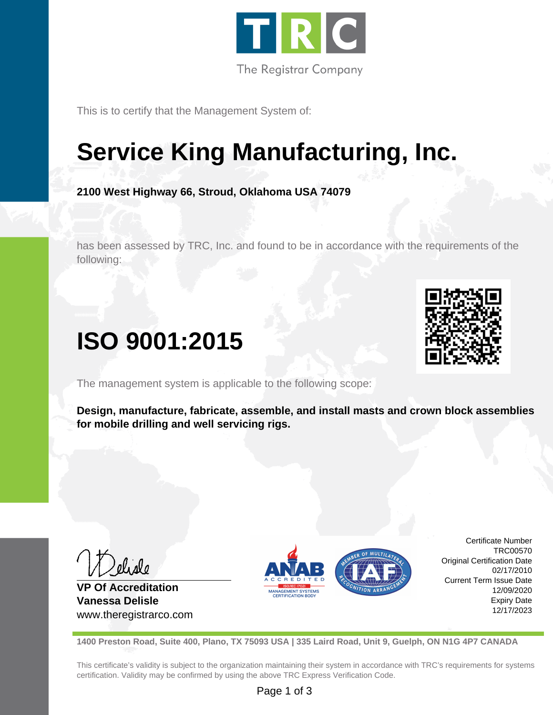

This is to certify that the Management System of:

# **Service King Manufacturing, Inc.**

**2100 West Highway 66, Stroud, Oklahoma USA 74079**

has been assessed by TRC, Inc. and found to be in accordance with the requirements of the following:

# **ISO 9001:2015**

The management system is applicable to the following scope:

**Design, manufacture, fabricate, assemble, and install masts and crown block assemblies for mobile drilling and well servicing rigs.**

**VP Of Accreditation Vanessa Delisle** www.theregistrarco.com



Certificate Number TRC00570 Original Certification Date 02/17/2010 Current Term Issue Date 12/09/2020 Expiry Date 12/17/2023

**1400 Preston Road, Suite 400, Plano, TX 75093 USA | 335 Laird Road, Unit 9, Guelph, ON N1G 4P7 CANADA**

This certificate's validity is subject to the organization maintaining their system in accordance with TRC's requirements for systems certification. Validity may be confirmed by using the above TRC Express Verification Code.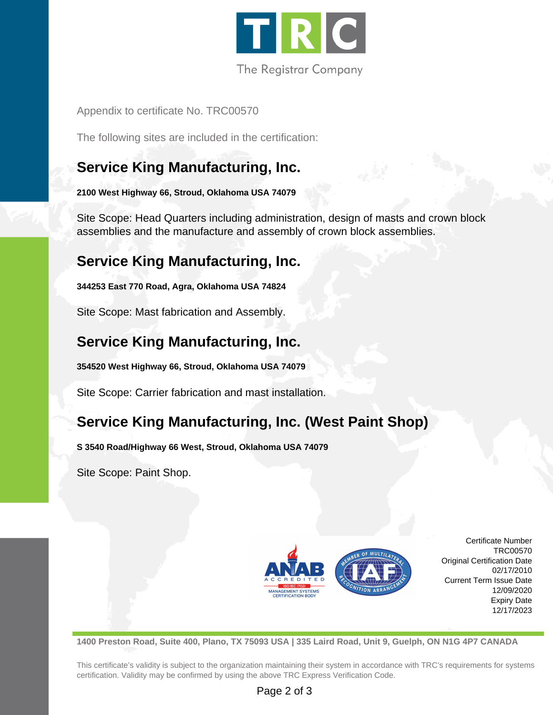

Appendix to certificate No. TRC00570

The following sites are included in the certification:

# **Service King Manufacturing, Inc.**

**2100 West Highway 66, Stroud, Oklahoma USA 74079**

Site Scope: Head Quarters including administration, design of masts and crown block assemblies and the manufacture and assembly of crown block assemblies.

# **Service King Manufacturing, Inc.**

**344253 East 770 Road, Agra, Oklahoma USA 74824**

Site Scope: Mast fabrication and Assembly.

# **Service King Manufacturing, Inc.**

**354520 West Highway 66, Stroud, Oklahoma USA 74079**

Site Scope: Carrier fabrication and mast installation.

# **Service King Manufacturing, Inc. (West Paint Shop)**

**S 3540 Road/Highway 66 West, Stroud, Oklahoma USA 74079**

Site Scope: Paint Shop.



Certificate Number TRC00570 Original Certification Date 02/17/2010 Current Term Issue Date 12/09/2020 Expiry Date 12/17/2023

**1400 Preston Road, Suite 400, Plano, TX 75093 USA | 335 Laird Road, Unit 9, Guelph, ON N1G 4P7 CANADA**

This certificate's validity is subject to the organization maintaining their system in accordance with TRC's requirements for systems certification. Validity may be confirmed by using the above TRC Express Verification Code.

#### Page 2 of 3